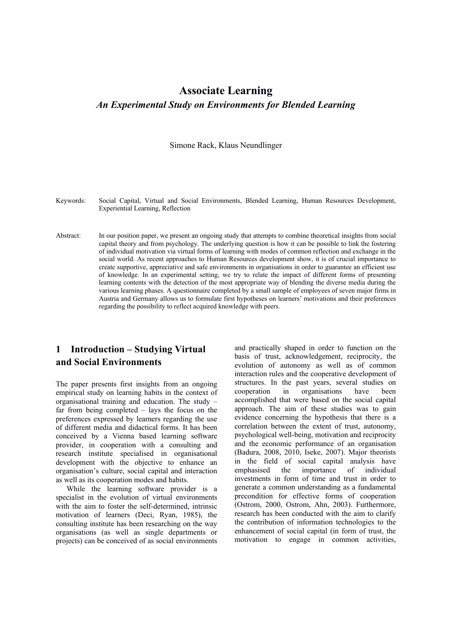# **Associate Learning** *An Experimental Study on Environments for Blended Learning*

Simone Rack, Klaus Neundlinger

Keywords: Social Capital, Virtual and Social Environments, Blended Learning, Human Resources Development, Experiential Learning, Reflection

Abstract: In our position paper, we present an ongoing study that attempts to combine theoretical insights from social capital theory and from psychology. The underlying question is how it can be possible to link the fostering of individual motivation via virtual forms of learning with modes of common reflection and exchange in the social world. As recent approaches to Human Resources development show, it is of crucial importance to create supportive, appreciative and safe environments in organisations in order to guarantee an efficient use of knowledge. In an experimental setting, we try to relate the impact of different forms of presenting learning contents with the detection of the most appropriate way of blending the diverse media during the various learning phases. A questionnaire completed by a small sample of employees of seven major firms in Austria and Germany allows us to formulate first hypotheses on learners' motivations and their preferences regarding the possibility to reflect acquired knowledge with peers.

### **1 Introduction – Studying Virtual and Social Environments**

The paper presents first insights from an ongoing empirical study on learning habits in the context of organisational training and education. The study – far from being completed – lays the focus on the preferences expressed by learners regarding the use of different media and didactical forms. It has been conceived by a Vienna based learning software provider, in cooperation with a consulting and research institute specialised in organisational development with the objective to enhance an organisation's culture, social capital and interaction as well as its cooperation modes and habits.

While the learning software provider is a specialist in the evolution of virtual environments with the aim to foster the self-determined, intrinsic motivation of learners (Deci, Ryan, 1985), the consulting institute has been researching on the way organisations (as well as single departments or projects) can be conceived of as social environments

and practically shaped in order to function on the basis of trust, acknowledgement, reciprocity, the evolution of autonomy as well as of common interaction rules and the cooperative development of structures. In the past years, several studies on cooperation in organisations have been accomplished that were based on the social capital approach. The aim of these studies was to gain evidence concerning the hypothesis that there is a correlation between the extent of trust, autonomy, psychological well-being, motivation and reciprocity and the economic performance of an organisation (Badura, 2008, 2010, Iseke, 2007). Major theorists in the field of social capital analysis have emphasised the importance of individual investments in form of time and trust in order to generate a common understanding as a fundamental precondition for effective forms of cooperation (Ostrom, 2000, Ostrom, Ahn, 2003). Furthermore, research has been conducted with the aim to clarify the contribution of information technologies to the enhancement of social capital (in form of trust, the motivation to engage in common activities,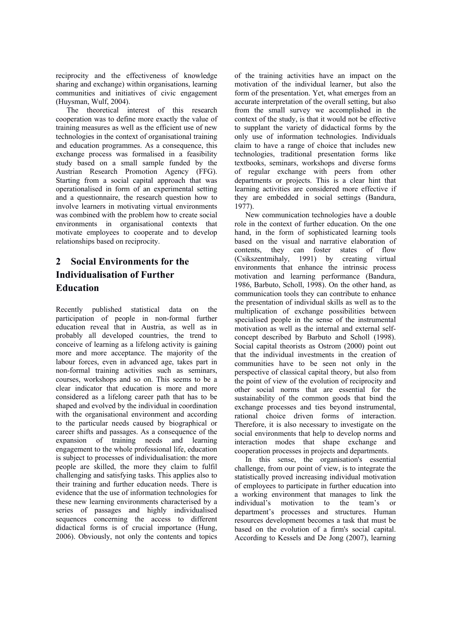reciprocity and the effectiveness of knowledge sharing and exchange) within organisations, learning communities and initiatives of civic engagement (Huysman, Wulf, 2004).

The theoretical interest of this research cooperation was to define more exactly the value of training measures as well as the efficient use of new technologies in the context of organisational training and education programmes. As a consequence, this exchange process was formalised in a feasibility study based on a small sample funded by the Austrian Research Promotion Agency (FFG). Starting from a social capital approach that was operationalised in form of an experimental setting and a questionnaire, the research question how to involve learners in motivating virtual environments was combined with the problem how to create social environments in organisational contexts that motivate employees to cooperate and to develop relationships based on reciprocity.

# **2 Social Environments for the Individualisation of Further Education**

Recently published statistical data on the participation of people in non-formal further education reveal that in Austria, as well as in probably all developed countries, the trend to conceive of learning as a lifelong activity is gaining more and more acceptance. The majority of the labour forces, even in advanced age, takes part in non-formal training activities such as seminars, courses, workshops and so on. This seems to be a clear indicator that education is more and more considered as a lifelong career path that has to be shaped and evolved by the individual in coordination with the organisational environment and according to the particular needs caused by biographical or career shifts and passages. As a consequence of the expansion of training needs and learning engagement to the whole professional life, education is subject to processes of individualisation: the more people are skilled, the more they claim to fulfil challenging and satisfying tasks. This applies also to their training and further education needs. There is evidence that the use of information technologies for these new learning environments characterised by a series of passages and highly individualised sequences concerning the access to different didactical forms is of crucial importance (Hung, 2006). Obviously, not only the contents and topics

of the training activities have an impact on the motivation of the individual learner, but also the form of the presentation. Yet, what emerges from an accurate interpretation of the overall setting, but also from the small survey we accomplished in the context of the study, is that it would not be effective to supplant the variety of didactical forms by the only use of information technologies. Individuals claim to have a range of choice that includes new technologies, traditional presentation forms like textbooks, seminars, workshops and diverse forms of regular exchange with peers from other departments or projects. This is a clear hint that learning activities are considered more effective if they are embedded in social settings (Bandura, 1977).

New communication technologies have a double role in the context of further education. On the one hand, in the form of sophisticated learning tools based on the visual and narrative elaboration of contents, they can foster states of flow (Csikszentmihaly, 1991) by creating virtual environments that enhance the intrinsic process motivation and learning performance (Bandura, 1986, Barbuto, Scholl, 1998). On the other hand, as communication tools they can contribute to enhance the presentation of individual skills as well as to the multiplication of exchange possibilities between specialised people in the sense of the instrumental motivation as well as the internal and external selfconcept described by Barbuto and Scholl (1998). Social capital theorists as Ostrom (2000) point out that the individual investments in the creation of communities have to be seen not only in the perspective of classical capital theory, but also from the point of view of the evolution of reciprocity and other social norms that are essential for the sustainability of the common goods that bind the exchange processes and ties beyond instrumental, rational choice driven forms of interaction. Therefore, it is also necessary to investigate on the social environments that help to develop norms and interaction modes that shape exchange and cooperation processes in projects and departments.

In this sense, the organisation's essential challenge, from our point of view, is to integrate the statistically proved increasing individual motivation of employees to participate in further education into a working environment that manages to link the individual's motivation to the team's or department's processes and structures. Human resources development becomes a task that must be based on the evolution of a firm's social capital. According to Kessels and De Jong (2007), learning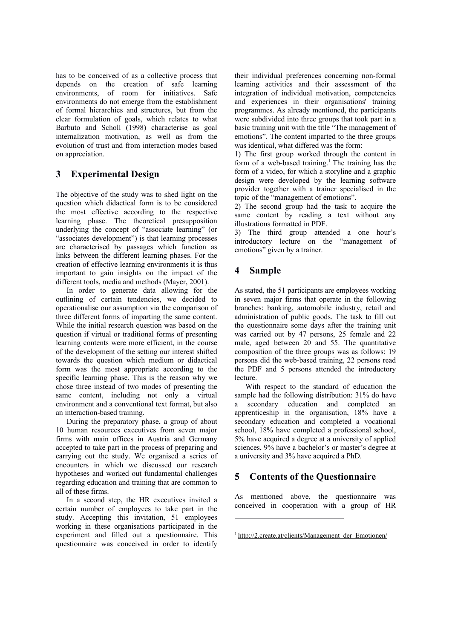has to be conceived of as a collective process that depends on the creation of safe learning environments, of room for initiatives. Safe environments do not emerge from the establishment of formal hierarchies and structures, but from the clear formulation of goals, which relates to what Barbuto and Scholl (1998) characterise as goal internalization motivation, as well as from the evolution of trust and from interaction modes based on appreciation.

### **3 Experimental Design**

The objective of the study was to shed light on the question which didactical form is to be considered the most effective according to the respective learning phase. The theoretical presupposition underlying the concept of "associate learning" (or "associates development") is that learning processes are characterised by passages which function as links between the different learning phases. For the creation of effective learning environments it is thus important to gain insights on the impact of the different tools, media and methods (Mayer, 2001).

In order to generate data allowing for the outlining of certain tendencies, we decided to operationalise our assumption via the comparison of three different forms of imparting the same content. While the initial research question was based on the question if virtual or traditional forms of presenting learning contents were more efficient, in the course of the development of the setting our interest shifted towards the question which medium or didactical form was the most appropriate according to the specific learning phase. This is the reason why we chose three instead of two modes of presenting the same content, including not only a virtual environment and a conventional text format, but also an interaction-based training.

During the preparatory phase, a group of about 10 human resources executives from seven major firms with main offices in Austria and Germany accepted to take part in the process of preparing and carrying out the study. We organised a series of encounters in which we discussed our research hypotheses and worked out fundamental challenges regarding education and training that are common to all of these firms.

In a second step, the HR executives invited a certain number of employees to take part in the study. Accepting this invitation, 51 employees working in these organisations participated in the experiment and filled out a questionnaire. This questionnaire was conceived in order to identify

their individual preferences concerning non-formal learning activities and their assessment of the integration of individual motivation, competencies and experiences in their organisations' training programmes. As already mentioned, the participants were subdivided into three groups that took part in a basic training unit with the title "The management of emotions". The content imparted to the three groups was identical, what differed was the form:

1) The first group worked through the content in form of a web-based training.<sup>1</sup> The training has the form of a video, for which a storyline and a graphic design were developed by the learning software provider together with a trainer specialised in the topic of the "management of emotions".

2) The second group had the task to acquire the same content by reading a text without any illustrations formatted in PDF.

3) The third group attended a one hour's introductory lecture on the "management of emotions" given by a trainer.

### **4 Sample**

As stated, the 51 participants are employees working in seven major firms that operate in the following branches: banking, automobile industry, retail and administration of public goods. The task to fill out the questionnaire some days after the training unit was carried out by 47 persons, 25 female and 22 male, aged between 20 and 55. The quantitative composition of the three groups was as follows: 19 persons did the web-based training, 22 persons read the PDF and 5 persons attended the introductory lecture.

With respect to the standard of education the sample had the following distribution: 31% do have a secondary education and completed an apprenticeship in the organisation, 18% have a secondary education and completed a vocational school, 18% have completed a professional school, 5% have acquired a degree at a university of applied sciences, 9% have a bachelor's or master's degree at a university and 3% have acquired a PhD.

### **5 Contents of the Questionnaire**

As mentioned above, the questionnaire was conceived in cooperation with a group of HR

<sup>&</sup>lt;sup>1</sup> http://2.create.at/clients/Management\_der\_Emotionen/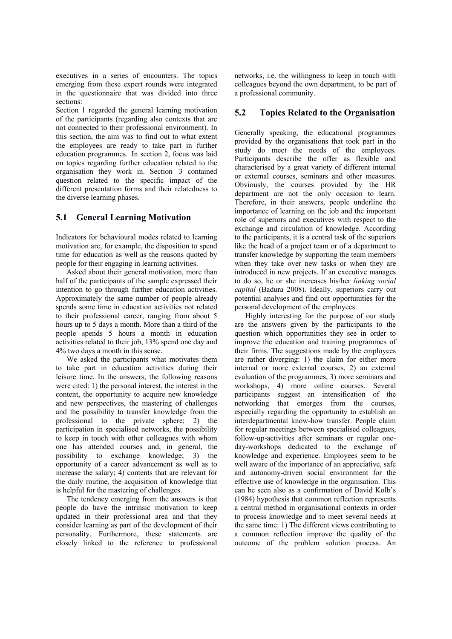executives in a series of encounters. The topics emerging from these expert rounds were integrated in the questionnaire that was divided into three sections:

Section 1 regarded the general learning motivation of the participants (regarding also contexts that are not connected to their professional environment). In this section, the aim was to find out to what extent the employees are ready to take part in further education programmes. In section 2, focus was laid on topics regarding further education related to the organisation they work in. Section 3 contained question related to the specific impact of the different presentation forms and their relatedness to the diverse learning phases.

#### **5.1 General Learning Motivation**

Indicators for behavioural modes related to learning motivation are, for example, the disposition to spend time for education as well as the reasons quoted by people for their engaging in learning activities.

Asked about their general motivation, more than half of the participants of the sample expressed their intention to go through further education activities. Approximately the same number of people already spends some time in education activities not related to their professional career, ranging from about 5 hours up to 5 days a month. More than a third of the people spends 5 hours a month in education activities related to their job, 13% spend one day and 4% two days a month in this sense.

We asked the participants what motivates them to take part in education activities during their leisure time. In the answers, the following reasons were cited: 1) the personal interest, the interest in the content, the opportunity to acquire new knowledge and new perspectives, the mastering of challenges and the possibility to transfer knowledge from the professional to the private sphere; 2) the participation in specialised networks, the possibility to keep in touch with other colleagues with whom one has attended courses and, in general, the possibility to exchange knowledge; 3) the opportunity of a career advancement as well as to increase the salary; 4) contents that are relevant for the daily routine, the acquisition of knowledge that is helpful for the mastering of challenges.

The tendency emerging from the answers is that people do have the intrinsic motivation to keep updated in their professional area and that they consider learning as part of the development of their personality. Furthermore, these statements are closely linked to the reference to professional

networks, i.e. the willingness to keep in touch with colleagues beyond the own department, to be part of a professional community.

#### **5.2 Topics Related to the Organisation**

Generally speaking, the educational programmes provided by the organisations that took part in the study do meet the needs of the employees. Participants describe the offer as flexible and characterised by a great variety of different internal or external courses, seminars and other measures. Obviously, the courses provided by the HR department are not the only occasion to learn. Therefore, in their answers, people underline the importance of learning on the job and the important role of superiors and executives with respect to the exchange and circulation of knowledge. According to the participants, it is a central task of the superiors like the head of a project team or of a department to transfer knowledge by supporting the team members when they take over new tasks or when they are introduced in new projects. If an executive manages to do so, he or she increases his/her *linking social capital* (Badura 2008). Ideally, superiors carry out potential analyses and find out opportunities for the personal development of the employees.

Highly interesting for the purpose of our study are the answers given by the participants to the question which opportunities they see in order to improve the education and training programmes of their firms. The suggestions made by the employees are rather diverging: 1) the claim for either more internal or more external courses, 2) an external evaluation of the programmes, 3) more seminars and workshops, 4) more online courses. Several participants suggest an intensification of the networking that emerges from the courses, especially regarding the opportunity to establish an interdepartmental know-how transfer. People claim for regular meetings between specialised colleagues, follow-up-activities after seminars or regular oneday-workshops dedicated to the exchange of knowledge and experience. Employees seem to be well aware of the importance of an appreciative, safe and autonomy-driven social environment for the effective use of knowledge in the organisation. This can be seen also as a confirmation of David Kolb's (1984) hypothesis that common reflection represents a central method in organisational contexts in order to process knowledge and to meet several needs at the same time: 1) The different views contributing to a common reflection improve the quality of the outcome of the problem solution process. An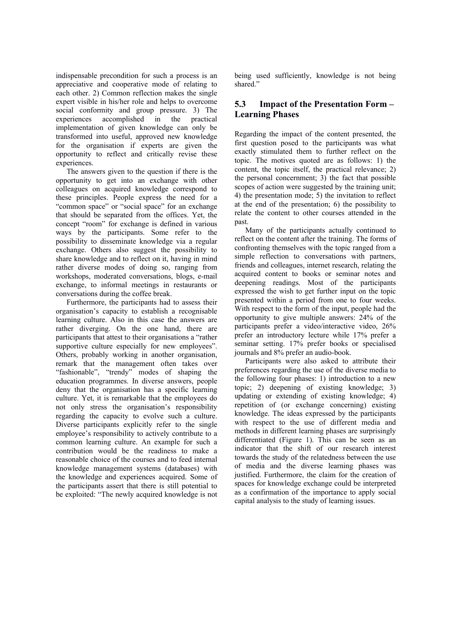indispensable precondition for such a process is an appreciative and cooperative mode of relating to each other. 2) Common reflection makes the single expert visible in his/her role and helps to overcome social conformity and group pressure. 3) The experiences accomplished in the practical implementation of given knowledge can only be transformed into useful, approved new knowledge for the organisation if experts are given the opportunity to reflect and critically revise these experiences.

The answers given to the question if there is the opportunity to get into an exchange with other colleagues on acquired knowledge correspond to these principles. People express the need for a "common space" or "social space" for an exchange that should be separated from the offices. Yet, the concept "room" for exchange is defined in various ways by the participants. Some refer to the possibility to disseminate knowledge via a regular exchange. Others also suggest the possibility to share knowledge and to reflect on it, having in mind rather diverse modes of doing so, ranging from workshops, moderated conversations, blogs, e-mail exchange, to informal meetings in restaurants or conversations during the coffee break.

Furthermore, the participants had to assess their organisation's capacity to establish a recognisable learning culture. Also in this case the answers are rather diverging. On the one hand, there are participants that attest to their organisations a "rather supportive culture especially for new employees". Others, probably working in another organisation, remark that the management often takes over "fashionable", "trendy" modes of shaping the education programmes. In diverse answers, people deny that the organisation has a specific learning culture. Yet, it is remarkable that the employees do not only stress the organisation's responsibility regarding the capacity to evolve such a culture. Diverse participants explicitly refer to the single employee's responsibility to actively contribute to a common learning culture. An example for such a contribution would be the readiness to make a reasonable choice of the courses and to feed internal knowledge management systems (databases) with the knowledge and experiences acquired. Some of the participants assert that there is still potential to be exploited: "The newly acquired knowledge is not being used sufficiently, knowledge is not being shared."

#### **5.3 Impact of the Presentation Form – Learning Phases**

Regarding the impact of the content presented, the first question posed to the participants was what exactly stimulated them to further reflect on the topic. The motives quoted are as follows: 1) the content, the topic itself, the practical relevance; 2) the personal concernment; 3) the fact that possible scopes of action were suggested by the training unit; 4) the presentation mode; 5) the invitation to reflect at the end of the presentation; 6) the possibility to relate the content to other courses attended in the past.

Many of the participants actually continued to reflect on the content after the training. The forms of confronting themselves with the topic ranged from a simple reflection to conversations with partners, friends and colleagues, internet research, relating the acquired content to books or seminar notes and deepening readings. Most of the participants expressed the wish to get further input on the topic presented within a period from one to four weeks. With respect to the form of the input, people had the opportunity to give multiple answers: 24% of the participants prefer a video/interactive video, 26% prefer an introductory lecture while 17% prefer a seminar setting. 17% prefer books or specialised journals and 8% prefer an audio-book.

Participants were also asked to attribute their preferences regarding the use of the diverse media to the following four phases: 1) introduction to a new topic; 2) deepening of existing knowledge; 3) updating or extending of existing knowledge; 4) repetition of (or exchange concerning) existing knowledge. The ideas expressed by the participants with respect to the use of different media and methods in different learning phases are surprisingly differentiated (Figure 1). This can be seen as an indicator that the shift of our research interest towards the study of the relatedness between the use of media and the diverse learning phases was justified. Furthermore, the claim for the creation of spaces for knowledge exchange could be interpreted as a confirmation of the importance to apply social capital analysis to the study of learning issues.